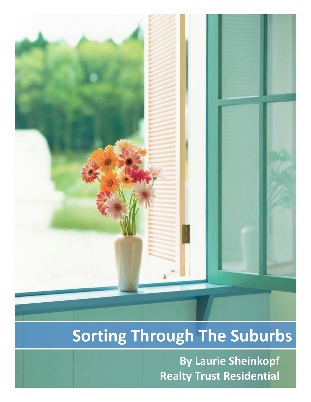

# **Sorting Through The Suburbs**

**By Laurie Sheinkopf Realty Trust Residential**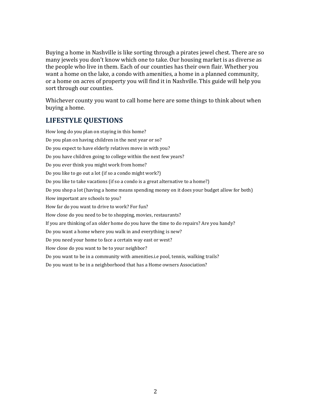Buying a home in Nashville is like sorting through a pirates jewel chest. There are so many jewels you don't know which one to take. Our housing market is as diverse as the people who live in them. Each of our counties has their own flair. Whether you want a home on the lake, a condo with amenities, a home in a planned community, or a home on acres of property you will find it in Nashville. This guide will help you sort through our counties.

Whichever county you want to call home here are some things to think about when buying a home.

# **LIFESTYLE QUESTIONS**

How long do you plan on staying in this home? Do you plan on having children in the next year or so? Do you expect to have elderly relatives move in with you? Do you have children going to college within the next few years? Do you ever think you might work from home? Do you like to go out a lot (if so a condo might work?) Do you like to take vacations (if so a condo is a great alternative to a home?) Do you shop a lot (having a home means spending money on it does your budget allow for both) How important are schools to you? How far do you want to drive to work? For fun? How close do you need to be to shopping, movies, restaurants? If you are thinking of an older home do you have the time to do repairs? Are you handy? Do you want a home where you walk in and everything is new? Do you need your home to face a certain way east or west? How close do you want to be to your neighbor? Do you want to be in a community with amenities.i.e pool, tennis, walking trails? Do you want to be in a neighborhood that has a Home owners Association?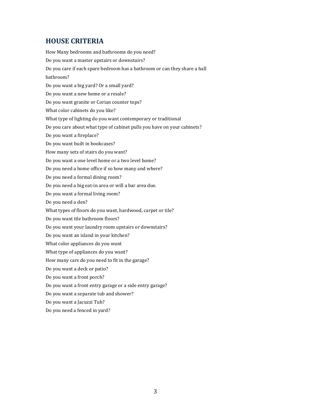# **HOUSE CRITERIA**

How Many bedrooms and bathrooms do you need? Do you want a master upstairs or downstairs? Do you care if each spare bedroom has a bathroom or can they share a hall bathroom? Do you want a big yard? Or a small yard? Do you want a new home or a resale? Do you want granite or Corian counter tops? What color cabinets do you like? What type of lighting do you want contemporary or traditional Do you care about what type of cabinet pulls you have on your cabinets? Do you want a fireplace? Do you want built in bookcases? How many sets of stairs do you want? Do you want a one level home or a two level home? Do you need a home office if so how many and where? Do you need a formal dining room? Do you need a big eat-in area or will a bar area due. Do you want a formal living room? Do you need a den? What types of floors do you want, hardwood, carpet or tile? Do you want tile bathroom floors? Do you want your laundry room upstairs or downstairs? Do you want an island in your kitchen? What color appliances do you want What type of appliances do you want? How many cars do you need to fit in the garage? Do you want a deck or patio? Do you want a front porch? Do you want a front entry garage or a side entry garage? Do you want a separate tub and shower? Do you want a Jacuzzi Tub? Do you need a fenced in yard?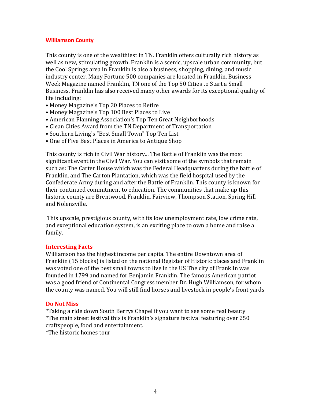#### **Williamson County**

This county is one of the wealthiest in TN. Franklin offers culturally rich history as well as new, stimulating growth. Franklin is a scenic, upscale urban community, but the Cool Springs area in Franklin is also a business, shopping, dining, and music industry center. Many Fortune 500 companies are located in Franklin. Business Week Magazine named Franklin, TN one of the Top 50 Cities to Start a Small Business. Franklin has also received many other awards for its exceptional quality of life including:

- Money Magazine's Top 20 Places to Retire
- Money Magazine's Top 100 Best Places to Live
- American Planning Association's Top Ten Great Neighborhoods
- Clean Cities Award from the TN Department of Transportation
- Southern Living's "Best Small Town" Top Ten List
- One of Five Best Places in America to Antique Shop

This county is rich in Civil War history... The Battle of Franklin was the most significant event in the Civil War. You can visit some of the symbols that remain such as: The Carter House which was the Federal Headquarters during the battle of Franklin, and The Carton Plantation, which was the field hospital used by the Confederate Army during and after the Battle of Franklin. This county is known for their continued commitment to education. The communities that make up this historic county are Brentwood, Franklin, Fairview, Thompson Station, Spring Hill and Nolensville.

This upscale, prestigious county, with its low unemployment rate, low crime rate, and exceptional education system, is an exciting place to own a home and raise a family.

#### **Interesting Facts**

Williamson has the highest income per capita. The entire Downtown area of Franklin (15 blocks) is listed on the national Register of Historic places and Franklin was voted one of the best small towns to live in the US The city of Franklin was founded in 1799 and named for Benjamin Franklin. The famous American patriot was a good friend of Continental Congress member Dr. Hugh Williamson, for whom the county was named. You will still find horses and livestock in people's front yards

#### **Do Not Miss**

\*Taking a ride down South Berrys Chapel if you want to see some real beauty \*The main street festival this is Franklin's signature festival featuring over 250 craftspeople, food and entertainment.

\*The historic homes tour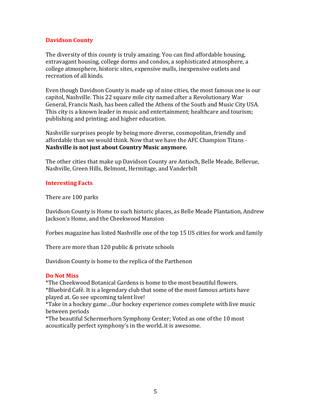# **Davidson County**

The diversity of this county is truly amazing. You can find affordable housing, extravagant housing, college dorms and condos, a sophisticated atmosphere, a college atmosphere, historic sites, expensive malls, inexpensive outlets and recreation of all kinds.

Even though Davidson County is made up of nine cities, the most famous one is our capitol, Nashville. This 22 square mile city named after a Revolutionary War General, Francis Nash, has been called the Athens of the South and Music City USA. This city is a known leader in music and entertainment; healthcare and tourism; publishing and printing; and higher education.

Nashville surprises people by being more diverse, cosmopolitan, friendly and affordable than we would think. Now that we have the AFC Champion Titans - **Nashville is not just about Country Music anymore.**

The other cities that make up Davidson County are Antioch, Belle Meade, Bellevue, Nashville, Green Hills, Belmont, Hermitage, and Vanderbilt

# **Interesting Facts**

There are 100 parks

Davidson County is Home to such historic places, as Belle Meade Plantation, Andrew Jackson's Home, and the Cheekwood Mansion

Forbes magazine has listed Nashville one of the top 15 US cities for work and family

There are more than 120 public & private schools

Davidson County is home to the replica of the Parthenon

#### **Do Not Miss**

\*The Cheekwood Botanical Gardens is home to the most beautiful flowers. \*Bluebird Café. It is a legendary club that some of the most famous artists have

played at. Go see upcoming talent live!

\*Take in a hockey game…Our hockey experience comes complete with live music between periods

\*The beautiful Schermerhorn Symphony Center; Voted as one of the 10 most acoustically perfect symphony's in the world..it is awesome.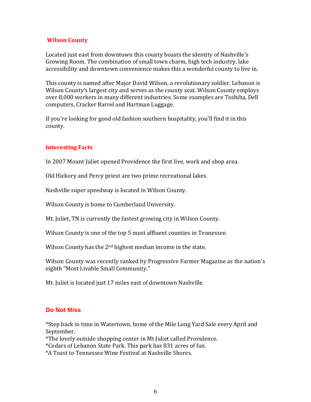# **Wilson County**

Located just east from downtown this county boasts the identity of Nashville's Growing Room. The combination of small town charm, high tech industry, lake accessibility and downtown convenience makes this a wonderful county to live in.

This county is named after Major David Wilson, a revolutionary soldier. Lebanon is Wilson County's largest city and serves as the county seat. Wilson County employs over 8,000 workers in many different industries. Some examples are Toshiba, Dell computers, Cracker Barrel and Hartman Luggage.

If you're looking for good old fashion southern hospitality, you'll find it in this county.

# **Interesting Facts**

In 2007 Mount Juliet opened Providence the first live, work and shop area.

Old Hickory and Percy priest are two prime recreational lakes.

Nashville super speedway is located in Wilson County.

Wilson County is home to Cumberland University.

Mt. Juliet, TN is currently the fastest growing city in Wilson County.

Wilson County is one of the top 5 most affluent counties in Tennessee.

Wilson County has the 2<sup>nd</sup> highest median income in the state.

Wilson County was recently ranked by Progressive Farmer Magazine as the nation's eighth "Most Livable Small Community."

Mt. Juliet is located just 17 miles east of downtown Nashville.

# **Do Not Miss**

\*Step back in time in Watertown, home of the Mile Long Yard Sale every April and September.

\*The lovely outside shopping center in Mt Juliet called Providence.

\*Cedars of Lebanon State Park. This park has 831 acres of fun.

\*A Toast to Tennessee Wine Festival at Nashville Shores.